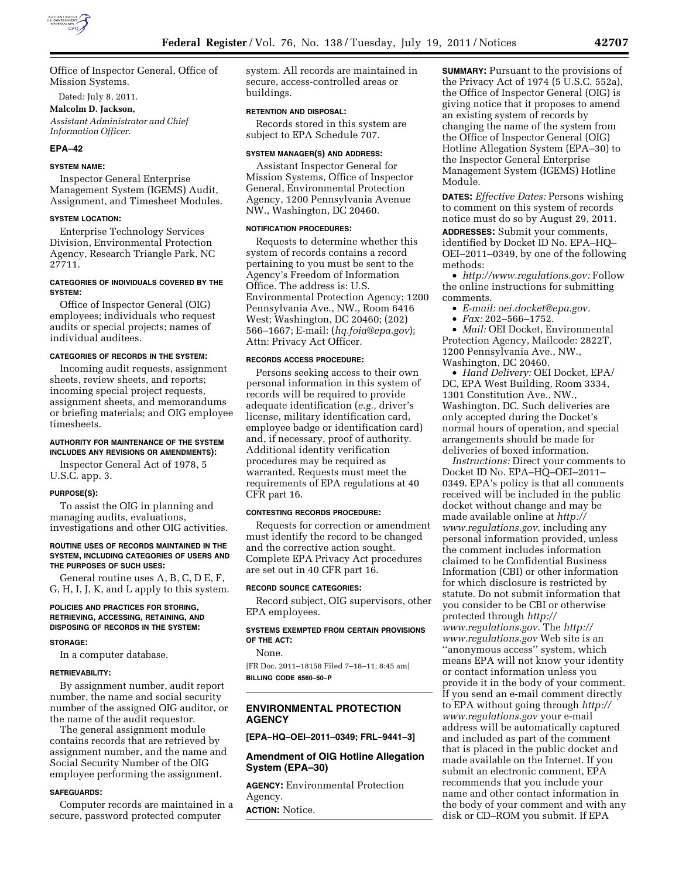

Office of Inspector General, Office of Mission Systems.

Dated: July 8, 2011.

# **Malcolm D. Jackson,**

*Assistant Administrator and Chief Information Officer.* 

#### **EPA–42**

#### **SYSTEM NAME:**

Inspector General Enterprise Management System (IGEMS) Audit, Assignment, and Timesheet Modules.

#### **SYSTEM LOCATION:**

Enterprise Technology Services Division, Environmental Protection Agency, Research Triangle Park, NC 27711.

## **CATEGORIES OF INDIVIDUALS COVERED BY THE SYSTEM:**

Office of Inspector General (OIG) employees; individuals who request audits or special projects; names of individual auditees.

#### **CATEGORIES OF RECORDS IN THE SYSTEM:**

Incoming audit requests, assignment sheets, review sheets, and reports; incoming special project requests, assignment sheets, and memorandums or briefing materials; and OIG employee timesheets.

### **AUTHORITY FOR MAINTENANCE OF THE SYSTEM INCLUDES ANY REVISIONS OR AMENDMENTS):**

Inspector General Act of 1978, 5 U.S.C. app. 3.

#### **PURPOSE(S):**

To assist the OIG in planning and managing audits, evaluations, investigations and other OIG activities.

#### **ROUTINE USES OF RECORDS MAINTAINED IN THE SYSTEM, INCLUDING CATEGORIES OF USERS AND THE PURPOSES OF SUCH USES:**

General routine uses A, B, C, D E, F, G, H, I, J, K, and L apply to this system.

### **POLICIES AND PRACTICES FOR STORING, RETRIEVING, ACCESSING, RETAINING, AND DISPOSING OF RECORDS IN THE SYSTEM:**

#### **STORAGE:**

In a computer database.

#### **RETRIEVABILITY:**

By assignment number, audit report number, the name and social security number of the assigned OIG auditor, or the name of the audit requestor.

The general assignment module contains records that are retrieved by assignment number, and the name and Social Security Number of the OIG employee performing the assignment.

#### **SAFEGUARDS:**

Computer records are maintained in a secure, password protected computer

system. All records are maintained in secure, access-controlled areas or buildings.

## **RETENTION AND DISPOSAL:**

Records stored in this system are subject to EPA Schedule 707.

#### **SYSTEM MANAGER(S) AND ADDRESS:**

Assistant Inspector General for Mission Systems, Office of Inspector General, Environmental Protection Agency, 1200 Pennsylvania Avenue NW., Washington, DC 20460.

### **NOTIFICATION PROCEDURES:**

Requests to determine whether this system of records contains a record pertaining to you must be sent to the Agency's Freedom of Information Office. The address is: U.S. Environmental Protection Agency; 1200 Pennsylvania Ave., NW., Room 6416 West; Washington, DC 20460; (202) 566–1667; E-mail: (*hq.foia@epa.gov*); Attn: Privacy Act Officer.

## **RECORDS ACCESS PROCEDURE:**

Persons seeking access to their own personal information in this system of records will be required to provide adequate identification (*e.g.,* driver's license, military identification card, employee badge or identification card) and, if necessary, proof of authority. Additional identity verification procedures may be required as warranted. Requests must meet the requirements of EPA regulations at 40 CFR part 16.

### **CONTESTING RECORDS PROCEDURE:**

Requests for correction or amendment must identify the record to be changed and the corrective action sought. Complete EPA Privacy Act procedures are set out in 40 CFR part 16.

#### **RECORD SOURCE CATEGORIES:**

Record subject, OIG supervisors, other EPA employees.

# **SYSTEMS EXEMPTED FROM CERTAIN PROVISIONS OF THE ACT:**

None.

[FR Doc. 2011–18158 Filed 7–18–11; 8:45 am] **BILLING CODE 6560–50–P** 

# **ENVIRONMENTAL PROTECTION AGENCY**

**[EPA–HQ–OEI–2011–0349; FRL–9441–3]** 

# **Amendment of OIG Hotline Allegation System (EPA–30)**

**AGENCY:** Environmental Protection Agency.

**ACTION:** Notice.

**SUMMARY:** Pursuant to the provisions of the Privacy Act of 1974 (5 U.S.C. 552a), the Office of Inspector General (OIG) is giving notice that it proposes to amend an existing system of records by changing the name of the system from the Office of Inspector General (OIG) Hotline Allegation System (EPA–30) to the Inspector General Enterprise Management System (IGEMS) Hotline Module.

**DATES:** *Effective Dates:* Persons wishing to comment on this system of records notice must do so by August 29, 2011*.* 

**ADDRESSES:** Submit your comments, identified by Docket ID No. EPA–HQ– OEI–2011–0349, by one of the following methods:

• *http://www.regulations.gov:* Follow the online instructions for submitting comments.

- *E-mail: oei.docket@epa.gov.*
- *Fax:* 202–566–1752.

• *Mail:* OEI Docket, Environmental Protection Agency, Mailcode: 2822T, 1200 Pennsylvania Ave., NW., Washington, DC 20460.

• *Hand Delivery:* OEI Docket, EPA/ DC, EPA West Building, Room 3334, 1301 Constitution Ave., NW., Washington, DC. Such deliveries are only accepted during the Docket's normal hours of operation, and special arrangements should be made for deliveries of boxed information.

*Instructions:* Direct your comments to Docket ID No. EPA–HQ–OEI–2011– 0349. EPA's policy is that all comments received will be included in the public docket without change and may be made available online at *http:// www.regulations.gov*, including any personal information provided, unless the comment includes information claimed to be Confidential Business Information (CBI) or other information for which disclosure is restricted by statute. Do not submit information that you consider to be CBI or otherwise protected through *http:// www.regulations.gov.* The *http:// www.regulations.gov* Web site is an ''anonymous access'' system, which means EPA will not know your identity or contact information unless you provide it in the body of your comment. If you send an e-mail comment directly to EPA without going through *http:// www.regulations.gov* your e-mail address will be automatically captured and included as part of the comment that is placed in the public docket and made available on the Internet. If you submit an electronic comment, EPA recommends that you include your name and other contact information in the body of your comment and with any disk or CD–ROM you submit. If EPA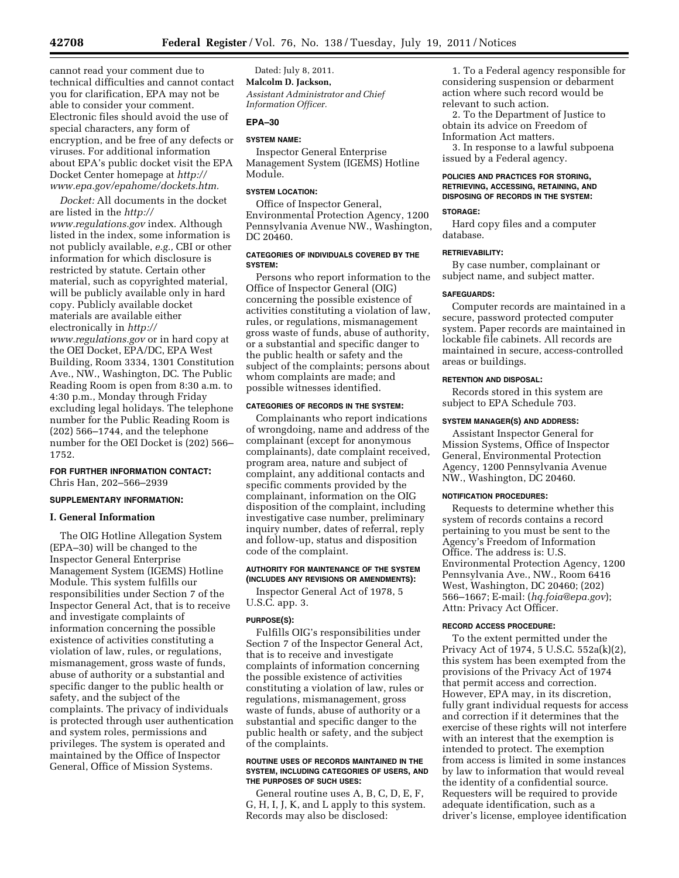cannot read your comment due to technical difficulties and cannot contact you for clarification, EPA may not be able to consider your comment. Electronic files should avoid the use of special characters, any form of encryption, and be free of any defects or viruses. For additional information about EPA's public docket visit the EPA Docket Center homepage at *http:// www.epa.gov/epahome/dockets.htm.* 

*Docket:* All documents in the docket are listed in the *http:// www.regulations.gov* index. Although listed in the index, some information is not publicly available, *e.g.,* CBI or other information for which disclosure is restricted by statute. Certain other material, such as copyrighted material, will be publicly available only in hard copy. Publicly available docket materials are available either electronically in *http:// www.regulations.gov* or in hard copy at the OEI Docket, EPA/DC, EPA West Building, Room 3334, 1301 Constitution Ave., NW., Washington, DC. The Public Reading Room is open from 8:30 a.m. to 4:30 p.m., Monday through Friday excluding legal holidays. The telephone number for the Public Reading Room is (202) 566–1744, and the telephone number for the OEI Docket is (202) 566– 1752.

# **FOR FURTHER INFORMATION CONTACT:**

Chris Han, 202–566–2939

# **SUPPLEMENTARY INFORMATION:**

## **I. General Information**

The OIG Hotline Allegation System (EPA–30) will be changed to the Inspector General Enterprise Management System (IGEMS) Hotline Module. This system fulfills our responsibilities under Section 7 of the Inspector General Act, that is to receive and investigate complaints of information concerning the possible existence of activities constituting a violation of law, rules, or regulations, mismanagement, gross waste of funds, abuse of authority or a substantial and specific danger to the public health or safety, and the subject of the complaints. The privacy of individuals is protected through user authentication and system roles, permissions and privileges. The system is operated and maintained by the Office of Inspector General, Office of Mission Systems.

Dated: July 8, 2011. **Malcolm D. Jackson,**  *Assistant Administrator and Chief Information Officer.* 

# **EPA–30**

# **SYSTEM NAME:**

Inspector General Enterprise Management System (IGEMS) Hotline Module.

### **SYSTEM LOCATION:**

Office of Inspector General, Environmental Protection Agency, 1200 Pennsylvania Avenue NW., Washington, DC 20460.

# **CATEGORIES OF INDIVIDUALS COVERED BY THE SYSTEM:**

Persons who report information to the Office of Inspector General (OIG) concerning the possible existence of activities constituting a violation of law, rules, or regulations, mismanagement gross waste of funds, abuse of authority, or a substantial and specific danger to the public health or safety and the subject of the complaints; persons about whom complaints are made; and possible witnesses identified.

### **CATEGORIES OF RECORDS IN THE SYSTEM:**

Complainants who report indications of wrongdoing, name and address of the complainant (except for anonymous complainants), date complaint received, program area, nature and subject of complaint, any additional contacts and specific comments provided by the complainant, information on the OIG disposition of the complaint, including investigative case number, preliminary inquiry number, dates of referral, reply and follow-up, status and disposition code of the complaint.

## **AUTHORITY FOR MAINTENANCE OF THE SYSTEM (INCLUDES ANY REVISIONS OR AMENDMENTS):**

Inspector General Act of 1978, 5 U.S.C. app. 3.

# **PURPOSE(S):**

Fulfills OIG's responsibilities under Section 7 of the Inspector General Act, that is to receive and investigate complaints of information concerning the possible existence of activities constituting a violation of law, rules or regulations, mismanagement, gross waste of funds, abuse of authority or a substantial and specific danger to the public health or safety, and the subject of the complaints.

### **ROUTINE USES OF RECORDS MAINTAINED IN THE SYSTEM, INCLUDING CATEGORIES OF USERS, AND THE PURPOSES OF SUCH USES:**

General routine uses A, B, C, D, E, F, G, H, I, J, K, and L apply to this system. Records may also be disclosed:

1. To a Federal agency responsible for considering suspension or debarment action where such record would be relevant to such action.

2. To the Department of Justice to obtain its advice on Freedom of Information Act matters.

3. In response to a lawful subpoena issued by a Federal agency.

## **POLICIES AND PRACTICES FOR STORING, RETRIEVING, ACCESSING, RETAINING, AND DISPOSING OF RECORDS IN THE SYSTEM:**

## **STORAGE:**

Hard copy files and a computer database.

## **RETRIEVABILITY:**

By case number, complainant or subject name, and subject matter.

### **SAFEGUARDS:**

Computer records are maintained in a secure, password protected computer system. Paper records are maintained in lockable file cabinets. All records are maintained in secure, access-controlled areas or buildings.

### **RETENTION AND DISPOSAL:**

Records stored in this system are subject to EPA Schedule 703.

## **SYSTEM MANAGER(S) AND ADDRESS:**

Assistant Inspector General for Mission Systems, Office of Inspector General, Environmental Protection Agency, 1200 Pennsylvania Avenue NW., Washington, DC 20460.

#### **NOTIFICATION PROCEDURES:**

Requests to determine whether this system of records contains a record pertaining to you must be sent to the Agency's Freedom of Information Office. The address is: U.S. Environmental Protection Agency, 1200 Pennsylvania Ave., NW., Room 6416 West, Washington, DC 20460; (202) 566–1667; E-mail: (*hq.foia@epa.gov*); Attn: Privacy Act Officer.

#### **RECORD ACCESS PROCEDURE:**

To the extent permitted under the Privacy Act of 1974, 5 U.S.C. 552a(k)(2), this system has been exempted from the provisions of the Privacy Act of 1974 that permit access and correction. However, EPA may, in its discretion, fully grant individual requests for access and correction if it determines that the exercise of these rights will not interfere with an interest that the exemption is intended to protect. The exemption from access is limited in some instances by law to information that would reveal the identity of a confidential source. Requesters will be required to provide adequate identification, such as a driver's license, employee identification